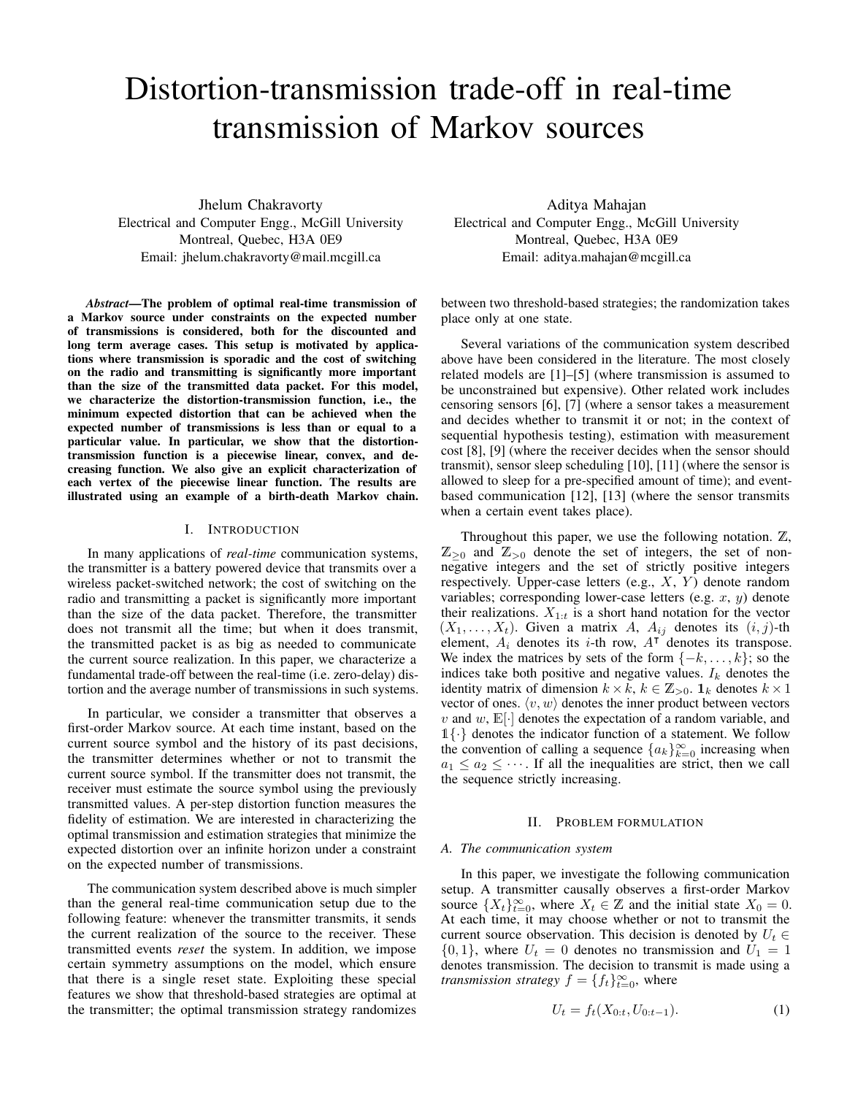# Distortion-transmission trade-off in real-time transmission of Markov sources

Jhelum Chakravorty Electrical and Computer Engg., McGill University Montreal, Quebec, H3A 0E9 Email: jhelum.chakravorty@mail.mcgill.ca

*Abstract*—The problem of optimal real-time transmission of a Markov source under constraints on the expected number of transmissions is considered, both for the discounted and long term average cases. This setup is motivated by applications where transmission is sporadic and the cost of switching on the radio and transmitting is significantly more important than the size of the transmitted data packet. For this model, we characterize the distortion-transmission function, i.e., the minimum expected distortion that can be achieved when the expected number of transmissions is less than or equal to a particular value. In particular, we show that the distortiontransmission function is a piecewise linear, convex, and decreasing function. We also give an explicit characterization of each vertex of the piecewise linear function. The results are illustrated using an example of a birth-death Markov chain.

#### I. INTRODUCTION

In many applications of *real-time* communication systems, the transmitter is a battery powered device that transmits over a wireless packet-switched network; the cost of switching on the radio and transmitting a packet is significantly more important than the size of the data packet. Therefore, the transmitter does not transmit all the time; but when it does transmit, the transmitted packet is as big as needed to communicate the current source realization. In this paper, we characterize a fundamental trade-off between the real-time (i.e. zero-delay) distortion and the average number of transmissions in such systems.

In particular, we consider a transmitter that observes a first-order Markov source. At each time instant, based on the current source symbol and the history of its past decisions, the transmitter determines whether or not to transmit the current source symbol. If the transmitter does not transmit, the receiver must estimate the source symbol using the previously transmitted values. A per-step distortion function measures the fidelity of estimation. We are interested in characterizing the optimal transmission and estimation strategies that minimize the expected distortion over an infinite horizon under a constraint on the expected number of transmissions.

The communication system described above is much simpler than the general real-time communication setup due to the following feature: whenever the transmitter transmits, it sends the current realization of the source to the receiver. These transmitted events *reset* the system. In addition, we impose certain symmetry assumptions on the model, which ensure that there is a single reset state. Exploiting these special features we show that threshold-based strategies are optimal at the transmitter; the optimal transmission strategy randomizes

Aditya Mahajan Electrical and Computer Engg., McGill University Montreal, Quebec, H3A 0E9 Email: aditya.mahajan@mcgill.ca

between two threshold-based strategies; the randomization takes place only at one state.

Several variations of the communication system described above have been considered in the literature. The most closely related models are [1]–[5] (where transmission is assumed to be unconstrained but expensive). Other related work includes censoring sensors [6], [7] (where a sensor takes a measurement and decides whether to transmit it or not; in the context of sequential hypothesis testing), estimation with measurement cost [8], [9] (where the receiver decides when the sensor should transmit), sensor sleep scheduling [10], [11] (where the sensor is allowed to sleep for a pre-specified amount of time); and eventbased communication [12], [13] (where the sensor transmits when a certain event takes place).

Throughout this paper, we use the following notation.  $\mathbb{Z}$ ,  $\mathbb{Z}_{\geq 0}$  and  $\mathbb{Z}_{> 0}$  denote the set of integers, the set of nonnegative integers and the set of strictly positive integers respectively. Upper-case letters (e.g.,  $X$ ,  $Y$ ) denote random variables; corresponding lower-case letters (e.g.  $x, y$ ) denote their realizations.  $X_{1:t}$  is a short hand notation for the vector  $(X_1, \ldots, X_t)$ . Given a matrix A,  $A_{ij}$  denotes its  $(i, j)$ -th element,  $A_i$  denotes its *i*-th row,  $A^{\dagger}$  denotes its transpose. We index the matrices by sets of the form  $\{-k, \ldots, k\}$ ; so the indices take both positive and negative values.  $I_k$  denotes the identity matrix of dimension  $k \times k$ ,  $k \in \mathbb{Z}_{>0}$ .  $\mathbf{1}_k$  denotes  $k \times 1$ vector of ones.  $\langle v, w \rangle$  denotes the inner product between vectors v and w,  $\mathbb{E}[\cdot]$  denotes the expectation of a random variable, and  $1\{\cdot\}$  denotes the indicator function of a statement. We follow the convention of calling a sequence  $\{a_k\}_{k=0}^{\infty}$  increasing when  $a_1 \le a_2 \le \cdots$ . If all the inequalities are strict, then we call the sequence strictly increasing.

#### II. PROBLEM FORMULATION

#### *A. The communication system*

In this paper, we investigate the following communication setup. A transmitter causally observes a first-order Markov source  $\{X_t\}_{t=0}^{\infty}$ , where  $X_t \in \mathbb{Z}$  and the initial state  $X_0 = 0$ . At each time, it may choose whether or not to transmit the current source observation. This decision is denoted by  $U_t \in$  $\{0, 1\}$ , where  $U_t = 0$  denotes no transmission and  $U_1 = 1$ denotes transmission. The decision to transmit is made using a *transmission strategy*  $f = \{f_t\}_{t=0}^{\infty}$ , where

$$
U_t = f_t(X_{0:t}, U_{0:t-1}).
$$
\n(1)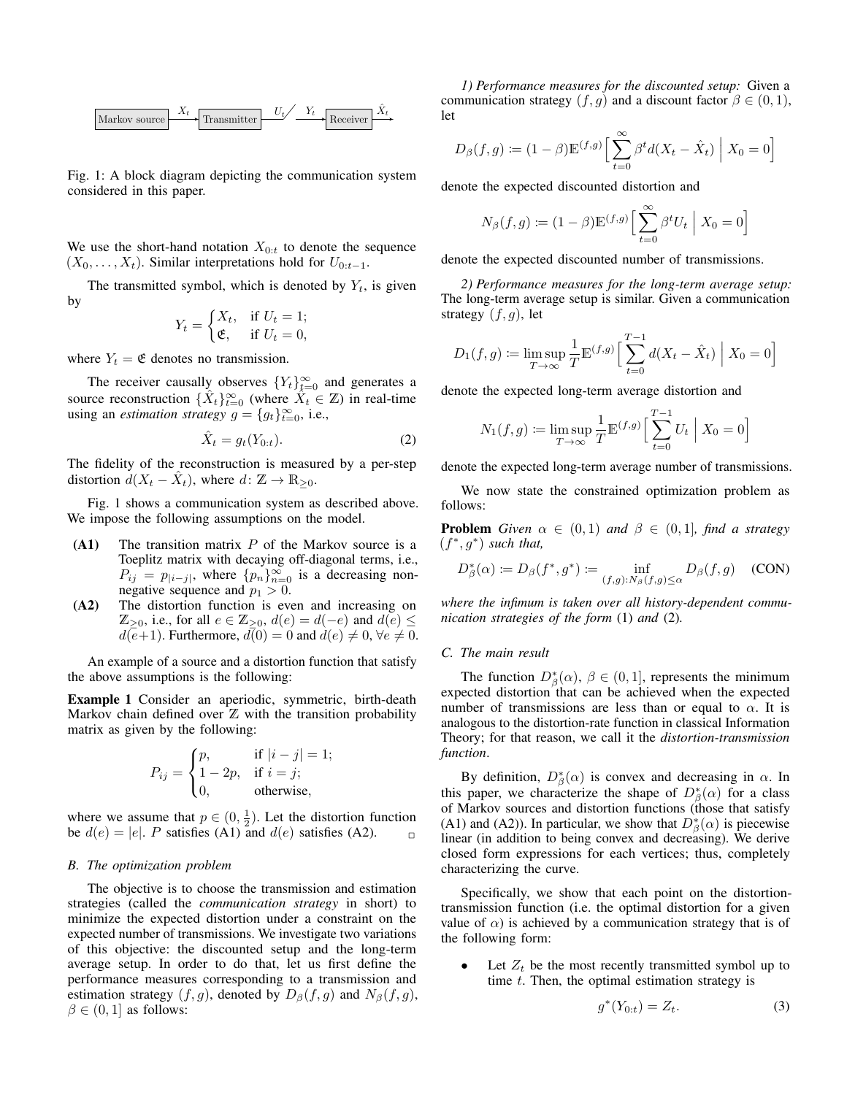

Fig. 1: A block diagram depicting the communication system considered in this paper.

We use the short-hand notation  $X_{0:t}$  to denote the sequence  $(X_0, \ldots, X_t)$ . Similar interpretations hold for  $U_{0:t-1}$ .

The transmitted symbol, which is denoted by  $Y_t$ , is given by

$$
Y_t = \begin{cases} X_t, & \text{if } U_t = 1; \\ \mathfrak{E}, & \text{if } U_t = 0, \end{cases}
$$

where  $Y_t = \mathfrak{E}$  denotes no transmission.

The receiver causally observes  ${Y_t}_{t=0}^{\infty}$  and generates a source reconstruction  $\{\hat{X}_t\}_{t=0}^{\infty}$  (where  $\hat{X}_t \in \mathbb{Z}$ ) in real-time using an *estimation strategy*  $g = \{g_t\}_{t=0}^{\infty}$ , i.e.,

$$
\hat{X}_t = g_t(Y_{0:t}).\tag{2}
$$

The fidelity of the reconstruction is measured by a per-step distortion  $d(X_t - \hat{X}_t)$ , where  $d: \mathbb{Z} \to \mathbb{R}_{\geq 0}$ .

Fig. 1 shows a communication system as described above. We impose the following assumptions on the model.

- $(A1)$  The transition matrix P of the Markov source is a Toeplitz matrix with decaying off-diagonal terms, i.e.,  $P_{ij} = p_{|i-j|}$ , where  $\{p_n\}_{n=0}^{\infty}$  is a decreasing nonnegative sequence and  $p_1 > 0$ .
- (A2) The distortion function is even and increasing on  $\mathbb{Z}_{\geq 0}$ , i.e., for all  $e \in \mathbb{Z}_{\geq 0}$ ,  $d(e) = d(-e)$  and  $d(e) \leq$  $d(e+1)$ . Furthermore,  $d(0) = 0$  and  $d(e) \neq 0$ ,  $\forall e \neq 0$ .

An example of a source and a distortion function that satisfy the above assumptions is the following:

Example 1 Consider an aperiodic, symmetric, birth-death Markov chain defined over  $\mathbb Z$  with the transition probability matrix as given by the following:

$$
P_{ij} = \begin{cases} p, & \text{if } |i-j| = 1; \\ 1-2p, & \text{if } i = j; \\ 0, & \text{otherwise,} \end{cases}
$$

where we assume that  $p \in (0, \frac{1}{2})$ . Let the distortion function be  $d(e) = |e|$ . P satisfies (A1) and  $d(e)$  satisfies (A2).

## *B. The optimization problem*

The objective is to choose the transmission and estimation strategies (called the *communication strategy* in short) to minimize the expected distortion under a constraint on the expected number of transmissions. We investigate two variations of this objective: the discounted setup and the long-term average setup. In order to do that, let us first define the performance measures corresponding to a transmission and estimation strategy  $(f, g)$ , denoted by  $D_\beta(f, g)$  and  $N_\beta(f, g)$ ,  $\beta \in (0,1]$  as follows:

*1) Performance measures for the discounted setup:* Given a communication strategy  $(f, g)$  and a discount factor  $\beta \in (0, 1)$ , let

$$
D_{\beta}(f,g) := (1 - \beta) \mathbb{E}^{(f,g)} \Big[ \sum_{t=0}^{\infty} \beta^t d(X_t - \hat{X}_t) \Big| X_0 = 0 \Big]
$$

denote the expected discounted distortion and

$$
N_{\beta}(f,g) := (1 - \beta) \mathbb{E}^{(f,g)} \Big[ \sum_{t=0}^{\infty} \beta^t U_t \mid X_0 = 0 \Big]
$$

denote the expected discounted number of transmissions.

*2) Performance measures for the long-term average setup:* The long-term average setup is similar. Given a communication strategy  $(f, q)$ , let

$$
D_1(f,g) := \limsup_{T \to \infty} \frac{1}{T} \mathbb{E}^{(f,g)} \Big[ \sum_{t=0}^{T-1} d(X_t - \hat{X}_t) \Big| X_0 = 0 \Big]
$$

denote the expected long-term average distortion and

$$
N_1(f,g) := \limsup_{T \to \infty} \frac{1}{T} \mathbb{E}^{(f,g)} \Big[ \sum_{t=0}^{T-1} U_t \Big| X_0 = 0 \Big]
$$

denote the expected long-term average number of transmissions.

We now state the constrained optimization problem as follows:

**Problem** *Given*  $\alpha \in (0,1)$  *and*  $\beta \in (0,1]$ *, find a strategy* (f ∗ , g<sup>∗</sup> ) *such that,*

$$
D_{\beta}^{*}(\alpha) := D_{\beta}(f^{*}, g^{*}) := \inf_{(f,g): N_{\beta}(f,g) \leq \alpha} D_{\beta}(f,g) \quad \text{(CON)}
$$

*where the infimum is taken over all history-dependent communication strategies of the form* (1) *and* (2)*.*

## *C. The main result*

The function  $D^*_{\beta}(\alpha)$ ,  $\beta \in (0,1]$ , represents the minimum expected distortion that can be achieved when the expected number of transmissions are less than or equal to  $\alpha$ . It is analogous to the distortion-rate function in classical Information Theory; for that reason, we call it the *distortion-transmission function*.

By definition,  $D^*_{\beta}(\alpha)$  is convex and decreasing in  $\alpha$ . In this paper, we characterize the shape of  $D^*_{\beta}(\alpha)$  for a class of Markov sources and distortion functions (those that satisfy (A1) and (A2)). In particular, we show that  $D^*_{\beta}(\alpha)$  is piecewise linear (in addition to being convex and decreasing). We derive closed form expressions for each vertices; thus, completely characterizing the curve.

Specifically, we show that each point on the distortiontransmission function (i.e. the optimal distortion for a given value of  $\alpha$ ) is achieved by a communication strategy that is of the following form:

• Let  $Z_t$  be the most recently transmitted symbol up to time  $t$ . Then, the optimal estimation strategy is

$$
g^*(Y_{0:t}) = Z_t.
$$
 (3)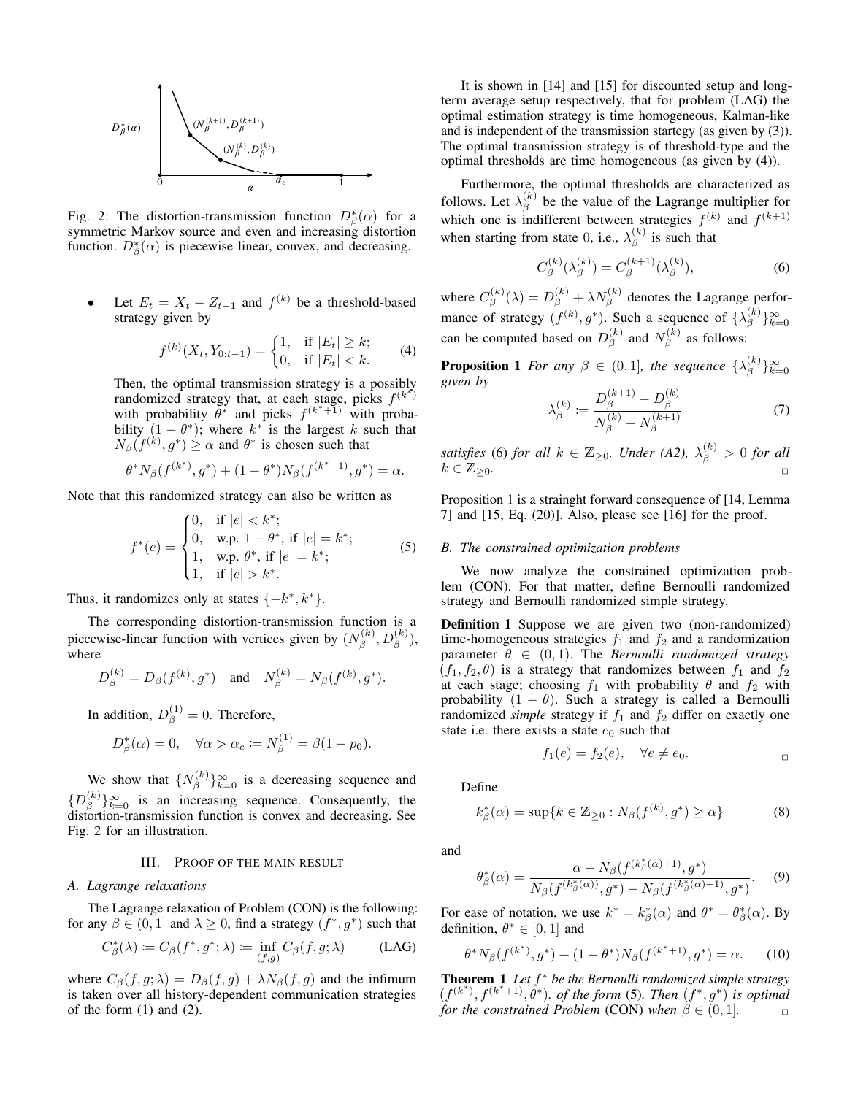$$
D_{\beta}^{*} (a) \quad \begin{picture}(100,10) \put(0,0){\line(1,0){160}} \put(15,0){\line(1,0){160}} \put(15,0){\line(1,0){160}} \put(15,0){\line(1,0){160}} \put(15,0){\line(1,0){160}} \put(15,0){\line(1,0){160}} \put(15,0){\line(1,0){160}} \put(15,0){\line(1,0){160}} \put(15,0){\line(1,0){160}} \put(15,0){\line(1,0){160}} \put(15,0){\line(1,0){160}} \put(15,0){\line(1,0){160}} \put(15,0){\line(1,0){160}} \put(15,0){\line(1,0){160}} \put(15,0){\line(1,0){160}} \put(15,0){\line(1,0){160}} \put(15,0){\line(1,0){160}} \put(15,0){\line(1,0){160}} \put(15,0){\line(1,0){160}} \put(15,0){\line(1,0){160}} \put(15,0){\line(1,0){160}} \put(15,0){\line(1,0){160}} \put(15,0){\line(1,0){160}} \put(15,0){\line(1,0){160}} \put(15,0){\line(1,0){160}} \put(15,0){\line(1,0){160}} \put(15,0){\line(1,0){160}} \put(15,0){\line(1,0){160}} \put(15,0){\line(1,0){160}} \put(15,0){\line(1,0){160}} \put(15,0){\line(1,0){160}} \put(15,0){\line(1,0){160}} \put(15,0){\line(1,0){160}} \put(15,0){\line(1,0){160}} \put(15,0){\line(1,0){160}} \put(15,0){\line(1,0){160}} \put(15,0){\line(1,0){160}} \put(15,0){\line(1,0){160}} \put(15,0){\line(1,
$$

Fig. 2: The distortion-transmission function  $D^*_{\beta}(\alpha)$  for a symmetric Markov source and even and increasing distortion function.  $D^*_{\beta}(\alpha)$  is piecewise linear, convex, and decreasing.

• Let  $E_t = X_t - Z_{t-1}$  and  $f^{(k)}$  be a threshold-based strategy given by

$$
f^{(k)}(X_t, Y_{0:t-1}) = \begin{cases} 1, & \text{if } |E_t| \ge k; \\ 0, & \text{if } |E_t| < k. \end{cases} \tag{4}
$$

Then, the optimal transmission strategy is a possibly randomized strategy that, at each stage, picks  $f^{(k^*)}$ with probability  $\theta^*$  and picks  $f^{(k^*+1)}$  with probability  $(1 - \theta^*)$ ; where  $k^*$  is the largest k such that  $N_{\beta}(f^{(k)}, g^*) \ge \alpha$  and  $\theta^*$  is chosen such that

$$
\theta^* N_\beta(f^{(k^*)}, g^*) + (1 - \theta^*) N_\beta(f^{(k^*+1)}, g^*) = \alpha.
$$

Note that this randomized strategy can also be written as

$$
f^*(e) = \begin{cases} 0, & \text{if } |e| < k^*; \\ 0, & \text{w.p. } 1 - \theta^*, \text{ if } |e| = k^*; \\ 1, & \text{w.p. } \theta^*, \text{ if } |e| = k^*; \\ 1, & \text{if } |e| > k^*. \end{cases} \tag{5}
$$

Thus, it randomizes only at states  $\{-k^*, k^*\}.$ 

The corresponding distortion-transmission function is a piecewise-linear function with vertices given by  $(N_\beta^{(k)})$  $\lbrack_{\beta}^{(k)},D_{\beta}^{(k)}),$ where

$$
D_{\beta}^{(k)} = D_{\beta}(f^{(k)}, g^*)
$$
 and  $N_{\beta}^{(k)} = N_{\beta}(f^{(k)}, g^*).$ 

In addition,  $D_{\beta}^{(1)}=0$ . Therefore,

$$
D_{\beta}^{*}(\alpha) = 0, \quad \forall \alpha > \alpha_{c} \coloneqq N_{\beta}^{(1)} = \beta(1 - p_{0}).
$$

We show that  $\{N_{\beta}^{(k)}\}$  $\binom{k}{\beta}$ <sub>k=0</sub> is a decreasing sequence and  $\{D_{\beta}^{(k)}% (\theta)=0,1\}$  $\binom{k}{\beta}$ <sub>k=0</sub> is an increasing sequence. Consequently, the distortion-transmission function is convex and decreasing. See Fig. 2 for an illustration.

# III. PROOF OF THE MAIN RESULT

## *A. Lagrange relaxations*

The Lagrange relaxation of Problem (CON) is the following: for any  $\beta \in (0,1]$  and  $\lambda \geq 0$ , find a strategy  $(f^*, g^*)$  such that

$$
C_{\beta}^{*}(\lambda) \coloneqq C_{\beta}(f^{*}, g^{*}; \lambda) \coloneqq \inf_{(f,g)} C_{\beta}(f, g; \lambda)
$$
 (LAG)

where  $C_{\beta}(f, g; \lambda) = D_{\beta}(f, g) + \lambda N_{\beta}(f, g)$  and the infimum is taken over all history-dependent communication strategies of the form  $(1)$  and  $(2)$ .

It is shown in [14] and [15] for discounted setup and longterm average setup respectively, that for problem (LAG) the optimal estimation strategy is time homogeneous, Kalman-like and is independent of the transmission startegy (as given by (3)). The optimal transmission strategy is of threshold-type and the optimal thresholds are time homogeneous (as given by (4)).

Furthermore, the optimal thresholds are characterized as follows. Let  $\lambda_{\beta}^{(k)}$  $\beta_{\beta}^{(k)}$  be the value of the Lagrange multiplier for which one is indifferent between strategies  $f^{(k)}$  and  $f^{(k+1)}$ when starting from state 0, i.e.,  $\lambda_{\beta}^{(k)}$  $\beta^{(\kappa)}$  is such that

$$
C_{\beta}^{(k)}(\lambda_{\beta}^{(k)}) = C_{\beta}^{(k+1)}(\lambda_{\beta}^{(k)}),
$$
 (6)

where  $C^{(k)}_{\beta}$  $D_{\beta}^{(k)}(\lambda) = D_{\beta}^{(k)} + \lambda N_{\beta}^{(k)}$  denotes the Lagrange performance of strategy  $(f^{(k)}, g^*)$ . Such a sequence of  $\{\lambda_{\beta}^{(k)}\}$  $\left\{ \begin{matrix} k \\ \beta \end{matrix} \right\}$   $\begin{matrix} \infty \ k=0 \end{matrix}$ can be computed based on  $D_{\beta}^{(k)}$  $\binom{k}{\beta}$  and  $N_{\beta}^{(k)}$  $\beta^{(\kappa)}$  as follows:

**Proposition 1** For any  $\beta \in (0,1]$ , the sequence  $\{\lambda_{\beta}^{(k)}\}$  $\begin{array}{c} (k) \\ \beta \end{array}$   $\}_{k=0}^{\infty}$ *given by*

$$
\lambda_{\beta}^{(k)} := \frac{D_{\beta}^{(k+1)} - D_{\beta}^{(k)}}{N_{\beta}^{(k)} - N_{\beta}^{(k+1)}}\tag{7}
$$

satisfies (6) for all  $k \in \mathbb{Z}_{\geq 0}$ . Under (A2),  $\lambda_{\beta}^{(k)} > 0$  for all  $k \in \mathbb{Z}_{\geq 0}$ .

Proposition 1 is a strainght forward consequence of [14, Lemma 7] and  $[15, Eq. (20)]$ . Also, please see  $[16]$  for the proof.

## *B. The constrained optimization problems*

We now analyze the constrained optimization problem (CON). For that matter, define Bernoulli randomized strategy and Bernoulli randomized simple strategy.

Definition 1 Suppose we are given two (non-randomized) time-homogeneous strategies  $f_1$  and  $f_2$  and a randomization parameter  $\theta \in (0, 1)$ . The *Bernoulli randomized strategy*  $(f_1, f_2, \theta)$  is a strategy that randomizes between  $f_1$  and  $f_2$ at each stage; choosing  $f_1$  with probability  $\theta$  and  $f_2$  with probability  $(1 - \theta)$ . Such a strategy is called a Bernoulli randomized *simple* strategy if  $f_1$  and  $f_2$  differ on exactly one state i.e. there exists a state  $e_0$  such that

$$
f_1(e) = f_2(e), \quad \forall e \neq e_0.
$$

Define

$$
k_{\beta}^{*}(\alpha) = \sup\{k \in \mathbb{Z}_{\geq 0} : N_{\beta}(f^{(k)}, g^{*}) \geq \alpha\}
$$
 (8)

and

$$
\theta_{\beta}^{*}(\alpha) = \frac{\alpha - N_{\beta}(f^{(k_{\beta}^{*}(\alpha)+1)}, g^{*})}{N_{\beta}(f^{(k_{\beta}^{*}(\alpha))}, g^{*}) - N_{\beta}(f^{(k_{\beta}^{*}(\alpha)+1)}, g^{*})}.
$$
(9)

For ease of notation, we use  $k^* = k^*_{\beta}(\alpha)$  and  $\theta^* = \theta^*_{\beta}(\alpha)$ . By definition,  $\theta^* \in [0, 1]$  and

$$
\theta^* N_\beta(f^{(k^*)}, g^*) + (1 - \theta^*) N_\beta(f^{(k^*+1)}, g^*) = \alpha. \tag{10}
$$

Theorem 1 *Let* f <sup>∗</sup> *be the Bernoulli randomized simple strategy*  $(f^{(k^*)}, f^{(k^*+1)}, \theta^*)$ *. of the form* (5)*. Then*  $(f^*, g^*)$  *is optimal for the constrained Problem* (CON) *when*  $\beta \in (0, 1]$ .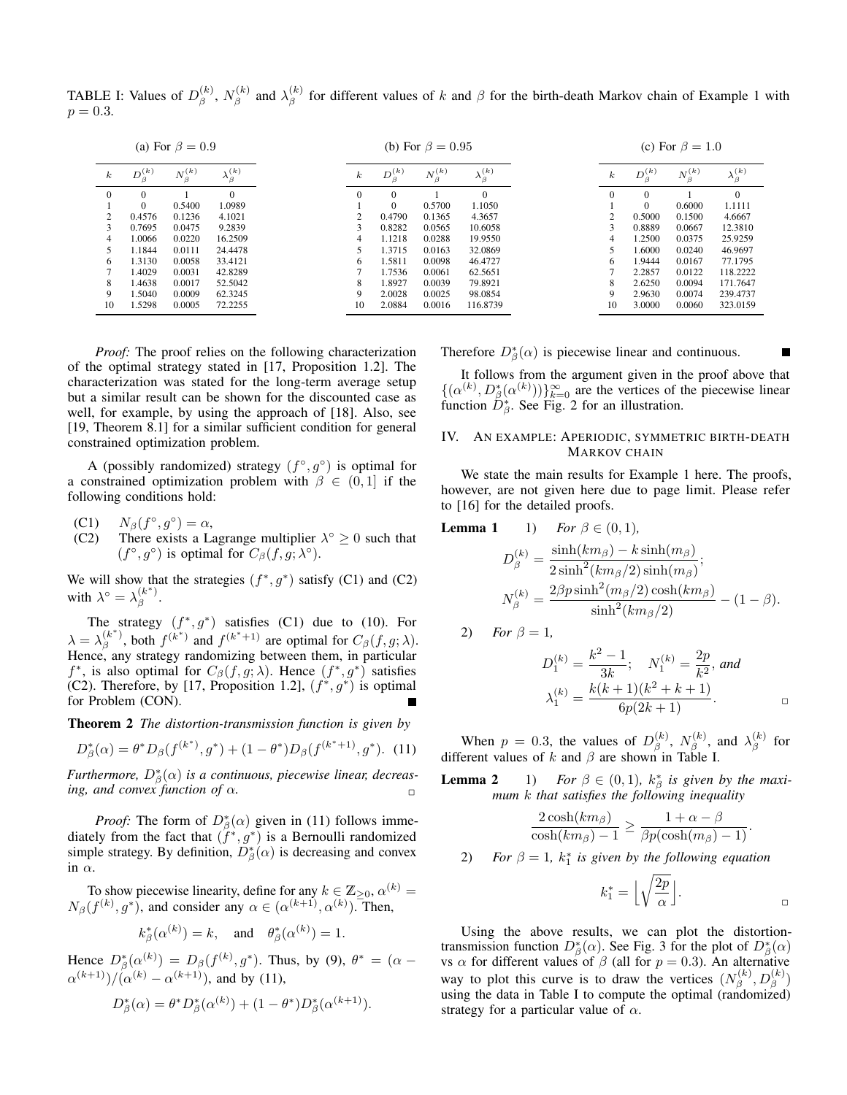**TABLE I:** Values of  $D_{\beta}^{(k)}$  $\binom{k}{\beta}, N_{\beta}^{(k)}$  $\lambda_{\beta}^{(k)}$  and  $\lambda_{\beta}^{(k)}$  $\beta_{\beta}^{(k)}$  for different values of k and  $\beta$  for the birth-death Markov chain of Example 1 with  $p = 0.3.$ 

| (a) For $\beta = 0.9$ |                   |                   |                         | (b) For $\beta = 0.95$ |          |                   |                   |                         | (c) For $\beta = 1.0$ |                   |                   |                         |
|-----------------------|-------------------|-------------------|-------------------------|------------------------|----------|-------------------|-------------------|-------------------------|-----------------------|-------------------|-------------------|-------------------------|
| $\boldsymbol{k}$      | $D_{\beta}^{(k)}$ | $N_{\beta}^{(k)}$ | $\lambda_{\beta}^{(k)}$ |                        | $\kappa$ | $D_{\beta}^{(k)}$ | $N_{\beta}^{(k)}$ | $\lambda_{\beta}^{(k)}$ | $\kappa$              | $D_{\beta}^{(k)}$ | $N_{\beta}^{(k)}$ | $\lambda_{\beta}^{(k)}$ |
| $\theta$              | $\Omega$          |                   | $\Omega$                |                        | $\Omega$ | $\Omega$          |                   | $\Omega$                | $\Omega$              | $\mathbf{0}$      |                   | $\mathbf{0}$            |
|                       | $\Omega$          | 0.5400            | 1.0989                  |                        |          | $\Omega$          | 0.5700            | 1.1050                  |                       | $\Omega$          | 0.6000            | 1.1111                  |
|                       | 0.4576            | 0.1236            | 4.1021                  |                        |          | 0.4790            | 0.1365            | 4.3657                  |                       | 0.5000            | 0.1500            | 4.6667                  |
| 3                     | 0.7695            | 0.0475            | 9.2839                  |                        | 3        | 0.8282            | 0.0565            | 10.6058                 | 3                     | 0.8889            | 0.0667            | 12.3810                 |
| 4                     | 1.0066            | 0.0220            | 16.2509                 |                        | 4        | 1.1218            | 0.0288            | 19.9550                 | 4                     | .2500             | 0.0375            | 25.9259                 |
|                       | 1.1844            | 0.0111            | 24.4478                 |                        |          | 1.3715            | 0.0163            | 32.0869                 |                       | .6000             | 0.0240            | 46.9697                 |
| 6                     | 1.3130            | 0.0058            | 33.4121                 |                        | 6        | 1.5811            | 0.0098            | 46.4727                 | 6                     | .9444             | 0.0167            | 77.1795                 |
|                       | 1.4029            | 0.0031            | 42.8289                 |                        |          | 1.7536            | 0.0061            | 62.5651                 |                       | 2.2857            | 0.0122            | 118.2222                |
| 8                     | 1.4638            | 0.0017            | 52.5042                 |                        | 8        | 1.8927            | 0.0039            | 79.8921                 | 8                     | 2.6250            | 0.0094            | 171.7647                |
| 9                     | 1.5040            | 0.0009            | 62.3245                 |                        | 9        | 2.0028            | 0.0025            | 98.0854                 | 9                     | 2.9630            | 0.0074            | 239.4737                |
| 10                    | 1.5298            | 0.0005            | 72.2255                 |                        | 10       | 2.0884            | 0.0016            | 116.8739                | 10                    | 3.0000            | 0.0060            | 323,0159                |

*Proof:* The proof relies on the following characterization of the optimal strategy stated in [17, Proposition 1.2]. The characterization was stated for the long-term average setup but a similar result can be shown for the discounted case as well, for example, by using the approach of [18]. Also, see [19, Theorem 8.1] for a similar sufficient condition for general constrained optimization problem.

A (possibly randomized) strategy  $(f^{\circ}, g^{\circ})$  is optimal for a constrained optimization problem with  $\beta \in (0,1]$  if the following conditions hold:

- (C1)  $N_{\beta}(f^{\circ}, g^{\circ}) = \alpha,$
- (C2) There exists a Lagrange multiplier  $\lambda^{\circ} \ge 0$  such that  $(f^{\circ}, g^{\circ})$  is optimal for  $C_{\beta}(f, g; \lambda^{\circ})$ .

We will show that the strategies  $(f^*, g^*)$  satisfy (C1) and (C2) with  $\lambda^{\circ} = \lambda_{\beta}^{(k^*)}$  $\frac{1}{\beta}$ .

The strategy  $(f^*, g^*)$  satisfies (C1) due to (10). For  $\lambda = \lambda_{\beta}^{(k^*)}$  $\binom{k^*}{\beta}$ , both  $f^{(k^*)}$  and  $f^{(k^*+1)}$  are optimal for  $C_\beta(f, g; \lambda)$ . Hence, any strategy randomizing between them, in particular  $f^*$ , is also optimal for  $C_\beta(f,g;\lambda)$ . Hence  $(f^*,g^*)$  satisfies (C2). Therefore, by [17, Proposition 1.2],  $(f^*, g^*)$  is optimal for Problem (CON).

Theorem 2 *The distortion-transmission function is given by*

$$
D_{\beta}^{*}(\alpha) = \theta^{*} D_{\beta}(f^{(k^{*})}, g^{*}) + (1 - \theta^{*}) D_{\beta}(f^{(k^{*}+1)}, g^{*}). \tag{11}
$$

 $Furthermore, D^*_{\beta}(\alpha)$  *is a continuous, piecewise linear, decreasing, and convex function of*  $\alpha$ *.* 

*Proof:* The form of  $D^*_{\beta}(\alpha)$  given in (11) follows immediately from the fact that  $(f^*, g^*)$  is a Bernoulli randomized simple strategy. By definition,  $D^*_{\beta}(\alpha)$  is decreasing and convex in  $\alpha$ .

To show piecewise linearity, define for any  $k \in \mathbb{Z}_{\geq 0}$ ,  $\alpha^{(k)} =$  $N_{\beta}(f^{(k)}, g^*)$ , and consider any  $\alpha \in (\alpha^{(k+1)}, \alpha^{(k)})$ . Then,

$$
k^*_{\beta}(\alpha^{(k)}) = k
$$
, and  $\theta^*_{\beta}(\alpha^{(k)}) = 1$ .

Hence  $D^*_{\beta}(\alpha^{(k)}) = D_{\beta}(f^{(k)}, g^*)$ . Thus, by (9),  $\theta^* = (\alpha - \beta)^*$  $\alpha^{(k+1)} / (\alpha^{(k)} - \alpha^{(k+1)})$ , and by (11),

$$
D_{\beta}^{*}(\alpha) = \theta^{*} D_{\beta}^{*}(\alpha^{(k)}) + (1 - \theta^{*}) D_{\beta}^{*}(\alpha^{(k+1)}).
$$

Therefore  $D^*_{\beta}(\alpha)$  is piecewise linear and continuous.

It follows from the argument given in the proof above that  $\{(\alpha^{(k)}, D^*_{\beta}(\alpha^{(k)}))\}_{k=0}^{\infty}$  are the vertices of the piecewise linear function  $\tilde{D}_{\beta}^{*}$ . See Fig. 2 for an illustration.

## IV. AN EXAMPLE: APERIODIC, SYMMETRIC BIRTH-DEATH MARKOV CHAIN

We state the main results for Example 1 here. The proofs, however, are not given here due to page limit. Please refer to [16] for the detailed proofs.

**Lemma 1** 1) For 
$$
\beta \in (0, 1)
$$
,  
\n
$$
D_{\beta}^{(k)} = \frac{\sinh(km_{\beta}) - k \sinh(m_{\beta})}{2 \sinh^{2}(km_{\beta}/2) \sinh(m_{\beta})};
$$
\n
$$
N_{\beta}^{(k)} = \frac{2\beta p \sinh^{2}(m_{\beta}/2) \cosh(km_{\beta})}{\sinh^{2}(km_{\beta}/2)} - (1 - \beta).
$$

2) *For*  $\beta = 1$ ,

$$
D_1^{(k)} = \frac{k^2 - 1}{3k}; \quad N_1^{(k)} = \frac{2p}{k^2}, \text{ and}
$$

$$
\lambda_1^{(k)} = \frac{k(k+1)(k^2 + k + 1)}{6p(2k+1)}.
$$

When  $p = 0.3$ , the values of  $D_8^{(k)}$  $\binom{k}{\beta}$ ,  $N_{\beta}^{(k)}$  $\lambda_{\beta}^{(k)}$ , and  $\lambda_{\beta}^{(k)}$  $\int_{\beta}^{(\kappa)}$  for different values of k and  $\beta$  are shown in Table I.

**Lemma 2** 1) *For*  $\beta \in (0,1)$ *,*  $k_{\beta}^{*}$  *is given by the maximum* k *that satisfies the following inequality*

$$
\frac{2\cosh(km_\beta)}{\cosh(km_\beta)-1} \ge \frac{1+\alpha-\beta}{\beta p(\cosh(m_\beta)-1)}.
$$

2) *For*  $\beta = 1$ ,  $k_1^*$  is given by the following equation

$$
k_1^* = \left\lfloor \sqrt{\frac{2p}{\alpha}} \right\rfloor.
$$

Using the above results, we can plot the distortiontransmission function  $D^*_{\beta}(\alpha)$ . See Fig. 3 for the plot of  $D^*_{\beta}(\alpha)$ vs  $\alpha$  for different values of  $\beta$  (all for  $p = 0.3$ ). An alternative way to plot this curve is to draw the vertices  $(N_\beta^{(k)})$  $\binom{k}{\beta},D_{\beta}^{(k)})$ using the data in Table I to compute the optimal (randomized) strategy for a particular value of  $\alpha$ .